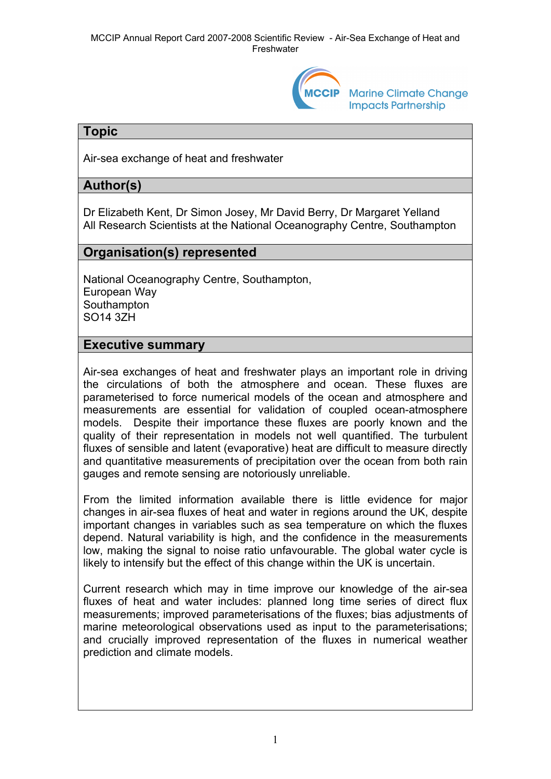

**Marine Climate Change Impacts Partnership** 

## **Topic**

Air-sea exchange of heat and freshwater

# **Author(s)**

Dr Elizabeth Kent, Dr Simon Josey, Mr David Berry, Dr Margaret Yelland All Research Scientists at the National Oceanography Centre, Southampton

## **Organisation(s) represented**

National Oceanography Centre, Southampton, European Way **Southampton** SO14 3ZH

## **Executive summary**

Air-sea exchanges of heat and freshwater plays an important role in driving the circulations of both the atmosphere and ocean. These fluxes are parameterised to force numerical models of the ocean and atmosphere and measurements are essential for validation of coupled ocean-atmosphere models. Despite their importance these fluxes are poorly known and the quality of their representation in models not well quantified. The turbulent fluxes of sensible and latent (evaporative) heat are difficult to measure directly and quantitative measurements of precipitation over the ocean from both rain gauges and remote sensing are notoriously unreliable.

From the limited information available there is little evidence for major changes in air-sea fluxes of heat and water in regions around the UK, despite important changes in variables such as sea temperature on which the fluxes depend. Natural variability is high, and the confidence in the measurements low, making the signal to noise ratio unfavourable. The global water cycle is likely to intensify but the effect of this change within the UK is uncertain.

Current research which may in time improve our knowledge of the air-sea fluxes of heat and water includes: planned long time series of direct flux measurements; improved parameterisations of the fluxes; bias adjustments of marine meteorological observations used as input to the parameterisations; and crucially improved representation of the fluxes in numerical weather prediction and climate models.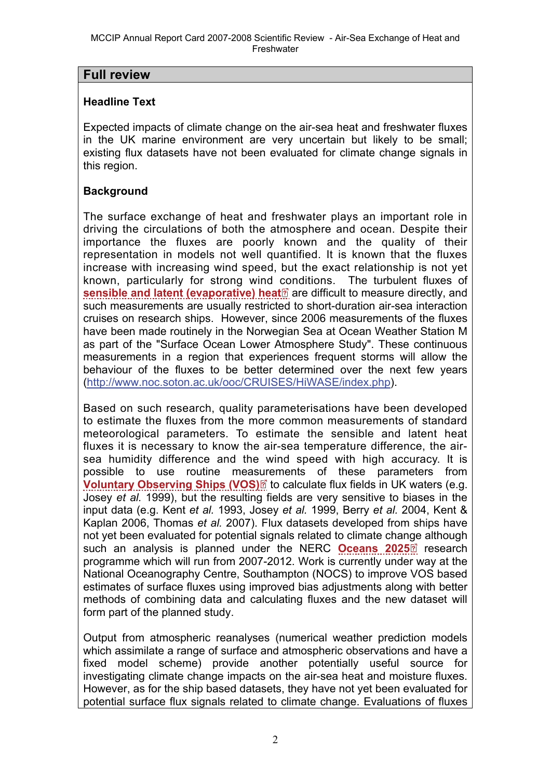## **Full review**

### **Headline Text**

Expected impacts of climate change on the air-sea heat and freshwater fluxes in the UK marine environment are very uncertain but likely to be small; existing flux datasets have not been evaluated for climate change signals in this region.

## **Background**

The surface exchange of heat and freshwater plays an important role in driving the circulations of both the atmosphere and ocean. Despite their importance the fluxes are poorly known and the quality of their representation in models not well quantified. It is known that the fluxes increase with increasing wind speed, but the exact relationship is not yet known, particularly for strong wind conditions. The turbulent fluxes of **[sensible and latent \(evaporative\) heat](http://www.mccip.org.uk/arc/2007/glossary.htm#Sensible_and_latent_heat_fluxes)** are difficult to measure directly, and such measurements are usually restricted to short-duration air-sea interaction cruises on research ships. However, since 2006 measurements of the fluxes have been made routinely in the Norwegian Sea at Ocean Weather Station M as part of the "Surface Ocean Lower Atmosphere Study". These continuous measurements in a region that experiences frequent storms will allow the behaviour of the fluxes to be better determined over the next few years (<http://www.noc.soton.ac.uk/ooc/CRUISES/HiWASE/index.php>).

Based on such research, quality parameterisations have been developed to estimate the fluxes from the more common measurements of standard meteorological parameters. To estimate the sensible and latent heat fluxes it is necessary to know the air-sea temperature difference, the airsea humidity difference and the wind speed with high accuracy. It is possible to use routine mea[sure](http://www.mccip.org.uk/arc/2007/glossary.htm)ments of these parameters from **[Voluntary Observing Ships \(VOS\)](http://www.mccip.org.uk/arc/2007/glossary.htm#VOS)** to calculate flux fields in UK waters (e.g. Josey *et al.* 1999), but the resulting fields are very sensitive to biases in the input data (e.g. Kent *et al.* 1993, Josey *et al.* 1999, Berry *et al.* 2004, Kent & Kaplan 2006, Thomas *et al.* 2007). Flux datasets developed from ships have not yet been evaluated for potential signals related to climate cha[nge](http://www.mccip.org.uk/arc/2007/glossary.htm) although such an analysis is planned under the NERC **[Oceans 2025](http://www.mccip.org.uk/arc/2007/glossary.htm#Oceans2025)** research programme which will run from 2007-2012. Work is currently under way at the National Oceanography Centre, Southampton (NOCS) to improve VOS based estimates of surface fluxes using improved bias adjustments along with better methods of combining data and calculating fluxes and the new dataset will form part of the planned study.

Output from atmospheric reanalyses (numerical weather prediction models which assimilate a range of surface and atmospheric observations and have a fixed model scheme) provide another potentially useful source for investigating climate change impacts on the air-sea heat and moisture fluxes. However, as for the ship based datasets, they have not yet been evaluated for potential surface flux signals related to climate change. Evaluations of fluxes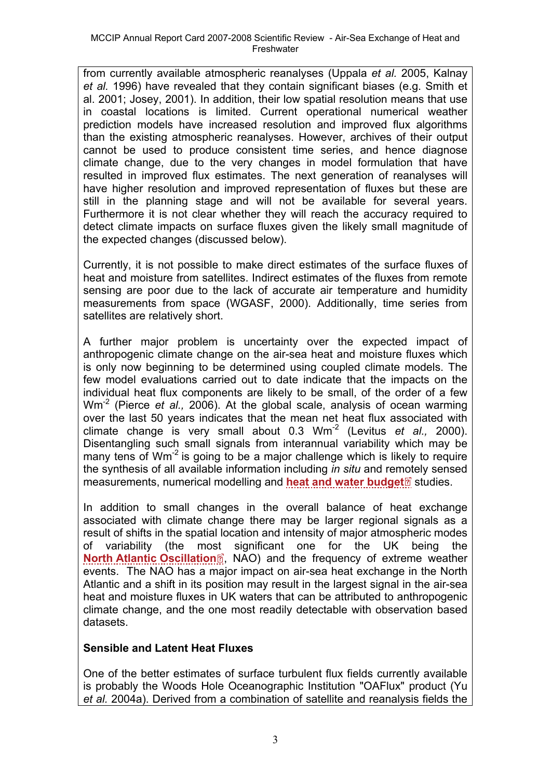from currently available atmospheric reanalyses (Uppala *et al.* 2005, Kalnay *et al.* 1996) have revealed that they contain significant biases (e.g. Smith et al. 2001; Josey, 2001). In addition, their low spatial resolution means that use in coastal locations is limited. Current operational numerical weather prediction models have increased resolution and improved flux algorithms than the existing atmospheric reanalyses. However, archives of their output cannot be used to produce consistent time series, and hence diagnose climate change, due to the very changes in model formulation that have resulted in improved flux estimates. The next generation of reanalyses will have higher resolution and improved representation of fluxes but these are still in the planning stage and will not be available for several years. Furthermore it is not clear whether they will reach the accuracy required to detect climate impacts on surface fluxes given the likely small magnitude of the expected changes (discussed below).

Currently, it is not possible to make direct estimates of the surface fluxes of heat and moisture from satellites. Indirect estimates of the fluxes from remote sensing are poor due to the lack of accurate air temperature and humidity measurements from space (WGASF, 2000). Additionally, time series from satellites are relatively short.

A further major problem is uncertainty over the expected impact of anthropogenic climate change on the air-sea heat and moisture fluxes which is only now beginning to be determined using coupled climate models. The few model evaluations carried out to date indicate that the impacts on the individual heat flux components are likely to be small, of the order of a few Wm-2 (Pierce *et al.,* 2006). At the global scale, analysis of ocean warming over the last 50 years indicates that the mean net heat flux associated with climate change is very small about 0.3 Wm-2 (Levitus *et al.,* 2000). Disentangling such small signals from interannual variability which may be many tens of Wm<sup>-2</sup> is going to be a major challenge which is likely to require the synthesis of all available information including *in situ* and re[mote](http://www.mccip.org.uk/arc/2007/glossary.htm)ly sensed measurements, numerical modelling and **[heat and water budget](http://www.mccip.org.uk/arc/2007/glossary.htm#Heat_and_water_budget)** studies.

In addition to small changes in the overall balance of heat exchange associated with climate change there may be larger regional signals as a result of shifts in the spatial location and intensity of major atmospheric modes of variability (the mo[st](http://www.mccip.org.uk/arc/2007/glossary.htm) significant one for the UK being the **[North Atlantic Oscillation](http://www.mccip.org.uk/arc/2007/glossary.htm#NAO)**<sup>2</sup>, NAO) and the frequency of extreme weather events. The NAO has a major impact on air-sea heat exchange in the North Atlantic and a shift in its position may result in the largest signal in the air-sea heat and moisture fluxes in UK waters that can be attributed to anthropogenic climate change, and the one most readily detectable with observation based datasets.

### **Sensible and Latent Heat Fluxes**

One of the better estimates of surface turbulent flux fields currently available is probably the Woods Hole Oceanographic Institution "OAFlux" product (Yu *et al.* 2004a). Derived from a combination of satellite and reanalysis fields the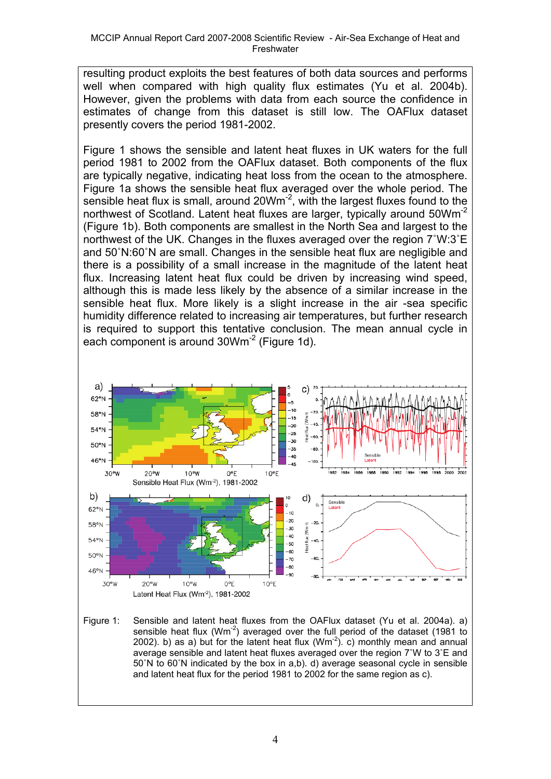resulting product exploits the best features of both data sources and performs well when compared with high quality flux estimates (Yu et al. 2004b). However, given the problems with data from each source the confidence in estimates of change from this dataset is still low. The OAFlux dataset presently covers the period 1981-2002.

Figure 1 shows the sensible and latent heat fluxes in UK waters for the full period 1981 to 2002 from the OAFlux dataset. Both components of the flux are typically negative, indicating heat loss from the ocean to the atmosphere. Figure 1a shows the sensible heat flux averaged over the whole period. The sensible heat flux is small, around 20Wm<sup>-2</sup>, with the largest fluxes found to the northwest of Scotland. Latent heat fluxes are larger, typically around 50Wm<sup>-2</sup> (Figure 1b). Both components are smallest in the North Sea and largest to the northwest of the UK. Changes in the fluxes averaged over the region 7˚W:3˚E and 50˚N:60˚N are small. Changes in the sensible heat flux are negligible and there is a possibility of a small increase in the magnitude of the latent heat flux. Increasing latent heat flux could be driven by increasing wind speed, although this is made less likely by the absence of a similar increase in the sensible heat flux. More likely is a slight increase in the air -sea specific humidity difference related to increasing air temperatures, but further research is required to support this tentative conclusion. The mean annual cycle in each component is around 30Wm<sup>-2</sup> (Figure 1d).



Figure 1: Sensible and latent heat fluxes from the OAFlux dataset (Yu et al. 2004a). a) sensible heat flux ( $Wm<sup>-2</sup>$ ) averaged over the full period of the dataset (1981 to 2002). b) as a) but for the latent heat flux  $(Wm^{-2})$ . c) monthly mean and annual average sensible and latent heat fluxes averaged over the region 7˚W to 3˚E and 50˚N to 60˚N indicated by the box in a,b). d) average seasonal cycle in sensible and latent heat flux for the period 1981 to 2002 for the same region as c).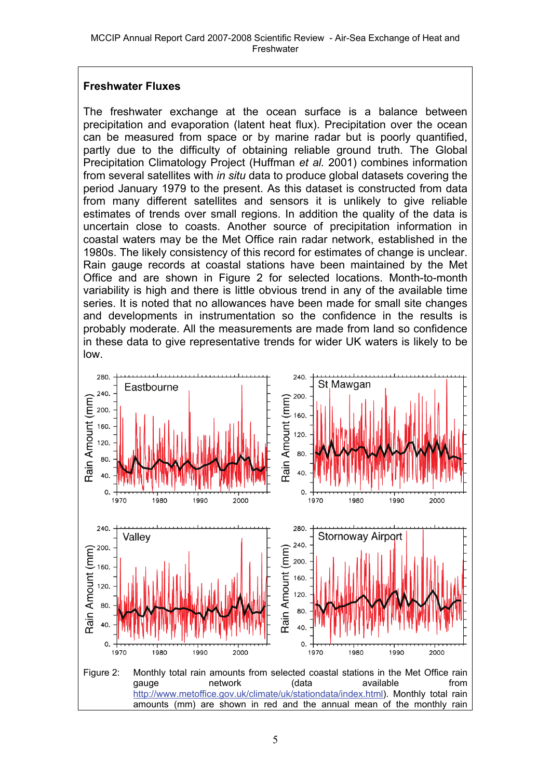#### **Freshwater Fluxes**

The freshwater exchange at the ocean surface is a balance between precipitation and evaporation (latent heat flux). Precipitation over the ocean can be measured from space or by marine radar but is poorly quantified, partly due to the difficulty of obtaining reliable ground truth. The Global Precipitation Climatology Project (Huffman *et al.* 2001) combines information from several satellites with *in situ* data to produce global datasets covering the period January 1979 to the present. As this dataset is constructed from data from many different satellites and sensors it is unlikely to give reliable estimates of trends over small regions. In addition the quality of the data is uncertain close to coasts. Another source of precipitation information in coastal waters may be the Met Office rain radar network, established in the 1980s. The likely consistency of this record for estimates of change is unclear. Rain gauge records at coastal stations have been maintained by the Met Office and are shown in Figure 2 for selected locations. Month-to-month variability is high and there is little obvious trend in any of the available time series. It is noted that no allowances have been made for small site changes and developments in instrumentation so the confidence in the results is probably moderate. All the measurements are made from land so confidence in these data to give representative trends for wider UK waters is likely to be low.

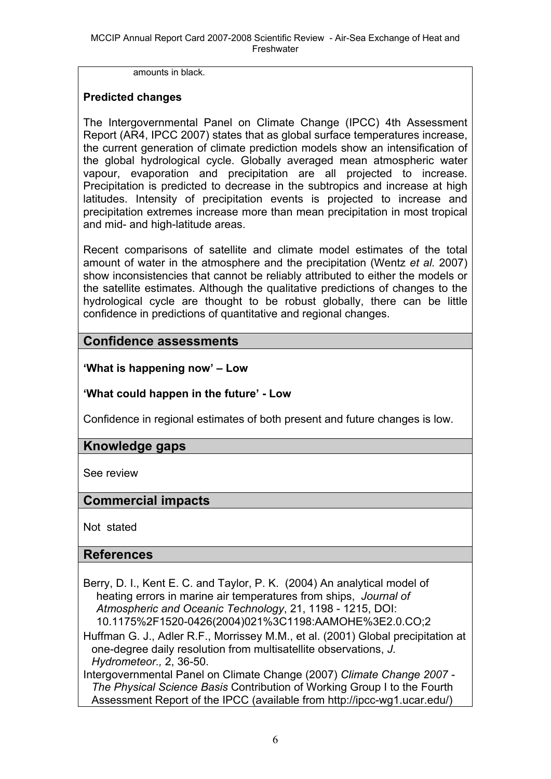amounts in black.

#### **Predicted changes**

The Intergovernmental Panel on Climate Change (IPCC) 4th Assessment Report (AR4, IPCC 2007) states that as global surface temperatures increase, the current generation of climate prediction models show an intensification of the global hydrological cycle. Globally averaged mean atmospheric water vapour, evaporation and precipitation are all projected to increase. Precipitation is predicted to decrease in the subtropics and increase at high latitudes. Intensity of precipitation events is projected to increase and precipitation extremes increase more than mean precipitation in most tropical and mid- and high-latitude areas.

Recent comparisons of satellite and climate model estimates of the total amount of water in the atmosphere and the precipitation (Wentz *et al.* 2007) show inconsistencies that cannot be reliably attributed to either the models or the satellite estimates. Although the qualitative predictions of changes to the hydrological cycle are thought to be robust globally, there can be little confidence in predictions of quantitative and regional changes.

## **Confidence assessments**

**'What is happening now' – Low** 

**'What could happen in the future' - Low**

Confidence in regional estimates of both present and future changes is low.

## **Knowledge gaps**

See review

### **Commercial impacts**

Not stated

### **References**

Berry, D. I., Kent E. C. and Taylor, P. K. (2004) An analytical model of heating errors in marine air temperatures from ships, *Journal of Atmospheric and Oceanic Technology*, 21, 1198 - 1215, DOI: 10.1175%2F1520-0426(2004)021%3C1198:AAMOHE%3E2.0.CO;2

Huffman G. J., Adler R.F., Morrissey M.M., et al. (2001) Global precipitation at one-degree daily resolution from multisatellite observations, *J. Hydrometeor.,* 2, 36-50.

Intergovernmental Panel on Climate Change (2007) *Climate Change 2007 - The Physical Science Basis* Contribution of Working Group I to the Fourth Assessment Report of the IPCC (available from http://ipcc-wg1.ucar.edu/)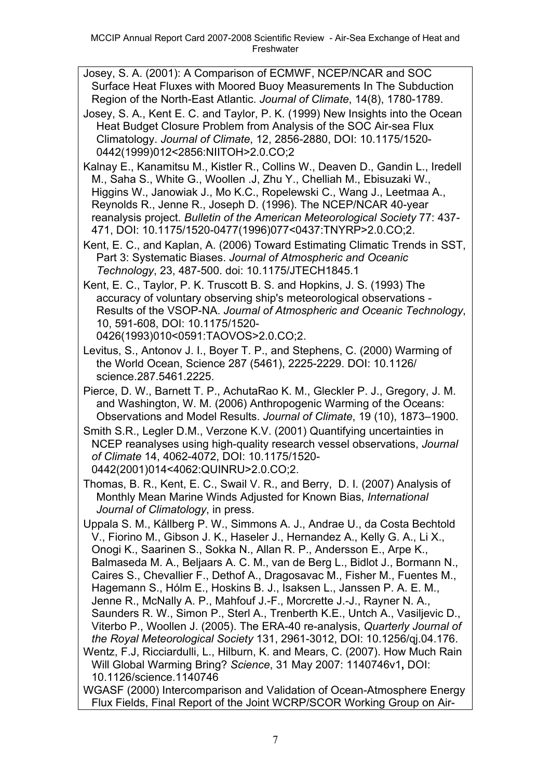Josey, S. A. (2001): A Comparison of ECMWF, NCEP/NCAR and SOC Surface Heat Fluxes with Moored Buoy Measurements In The Subduction Region of the North-East Atlantic. *Journal of Climate*, 14(8), 1780-1789.

Josey, S. A., Kent E. C. and Taylor, P. K. (1999) New Insights into the Ocean Heat Budget Closure Problem from Analysis of the SOC Air-sea Flux Climatology. *Journal of Climate*, 12, 2856-2880, DOI: 10.1175/1520- 0442(1999)012<2856:NIITOH>2.0.CO;2

Kalnay E., Kanamitsu M., Kistler R., Collins W., Deaven D., Gandin L., Iredell M., Saha S., White G., Woollen .J, Zhu Y., Chelliah M., Ebisuzaki W., Higgins W., Janowiak J., Mo K.C., Ropelewski C., Wang J., Leetmaa A., Reynolds R., Jenne R., Joseph D. (1996). The NCEP/NCAR 40-year reanalysis project. *Bulletin of the American Meteorological Society* 77: 437- 471, DOI: 10.1175/1520-0477(1996)077<0437:TNYRP>2.0.CO;2.

Kent, E. C., and Kaplan, A. (2006) Toward Estimating Climatic Trends in SST, Part 3: Systematic Biases. *Journal of Atmospheric and Oceanic Technology*, 23, 487-500. doi: 10.1175/JTECH1845.1

Kent, E. C., Taylor, P. K. Truscott B. S. and Hopkins, J. S. (1993) The accuracy of voluntary observing ship's meteorological observations - Results of the VSOP-NA. *Journal of Atmospheric and Oceanic Technology*, 10, 591-608, DOI: 10.1175/1520-

0426(1993)010<0591:TAOVOS>2.0.CO;2.

Levitus, S., Antonov J. I., Boyer T. P., and Stephens, C. (2000) Warming of the World Ocean, Science 287 (5461), 2225-2229. DOI: 10.1126/ science.287.5461.2225.

Pierce, D. W., Barnett T. P., AchutaRao K. M., Gleckler P. J., Gregory, J. M. and Washington, W. M. (2006) Anthropogenic Warming of the Oceans: Observations and Model Results. *Journal of Climate*, 19 (10), 1873–1900.

Smith S.R., Legler D.M., Verzone K.V. (2001) Quantifying uncertainties in NCEP reanalyses using high-quality research vessel observations, *Journal of Climate* 14, 4062-4072, DOI: 10.1175/1520- 0442(2001)014<4062:QUINRU>2.0.CO;2.

Thomas, B. R., Kent, E. C., Swail V. R., and Berry, D. I. (2007) Analysis of Monthly Mean Marine Winds Adjusted for Known Bias, *International Journal of Climatology*, in press.

Uppala S. M., Kållberg P. W., Simmons A. J., Andrae U., da Costa Bechtold V., Fiorino M., Gibson J. K., Haseler J., Hernandez A., Kelly G. A., Li X., Onogi K., Saarinen S., Sokka N., Allan R. P., Andersson E., Arpe K., Balmaseda M. A., Beljaars A. C. M., van de Berg L., Bidlot J., Bormann N., Caires S., Chevallier F., Dethof A., Dragosavac M., Fisher M., Fuentes M., Hagemann S., Hólm E., Hoskins B. J., Isaksen L., Janssen P. A. E. M., Jenne R., McNally A. P., Mahfouf J.-F., Morcrette J.-J., Rayner N. A., Saunders R. W., Simon P., Sterl A., Trenberth K.E., Untch A., Vasiljevic D., Viterbo P., Woollen J. (2005). The ERA-40 re-analysis, *Quarterly Journal of the Royal Meteorological Society* 131, 2961-3012, DOI: 10.1256/qj.04.176. Wentz, F.J, Ricciardulli, L., Hilburn, K. and Mears, C. (2007). How Much Rain

Will Global Warming Bring? *Science*, 31 May 2007: 1140746v1**,** DOI: 10.1126/science.1140746

WGASF (2000) Intercomparison and Validation of Ocean-Atmosphere Energy Flux Fields, Final Report of the Joint WCRP/SCOR Working Group on Air